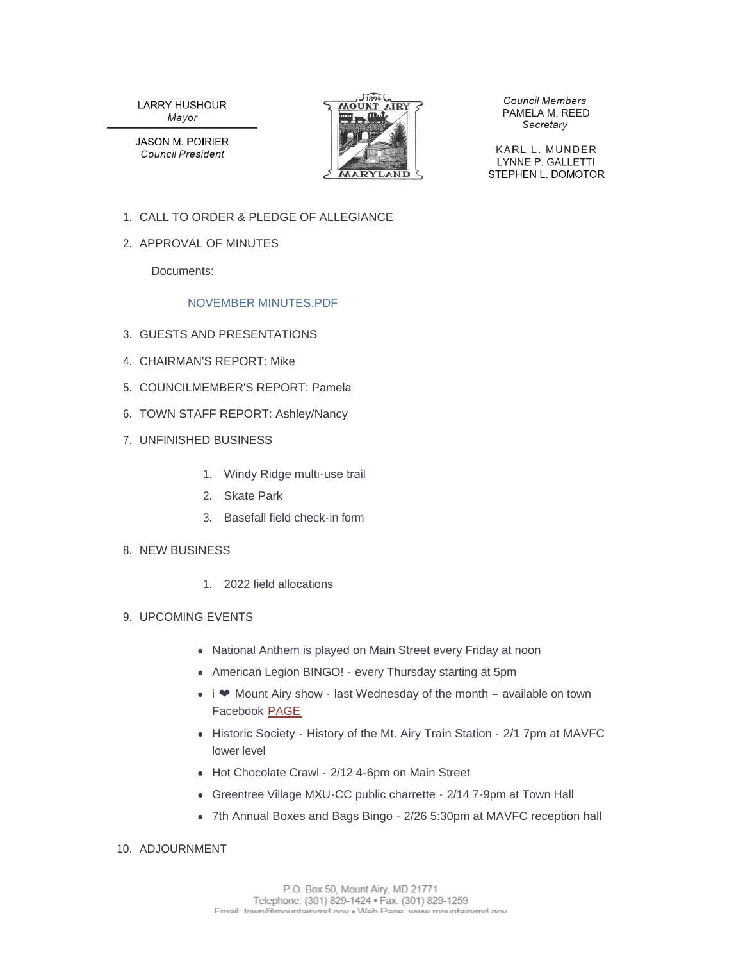**LARRY HUSHOUR** Mayor

**JASON M. POIRIER Council President** 



**Council Members** PAMELA M. REED Secretary

KARL L. MUNDER LYNNE P. GALLETTI STEPHEN L. DOMOTOR

- CALL TO ORDER & PLEDGE OF ALLEGIANCE 1.
- 2. APPROVAL OF MINUTES

Documents:

## NOVEMBER MINUTES.PDF

- GUESTS AND PRESENTATIONS 3.
- CHAIRMAN'S REPORT: Mike 4.
- 5. COUNCILMEMBER'S REPORT: Pamela
- 6. TOWN STAFF REPORT: Ashley/Nancy
- UNFINISHED BUSINESS 7.
	- 1. Windy Ridge multi-use trail
	- 2. Skate Park
	- 3. Basefall field check-in form
- 8. NEW BUSINESS
	- 1. 2022 field allocations
- 9. UPCOMING EVENTS
	- National Anthem is played on Main Street every Friday at noon
	- American Legion BINGO! every Thursday starting at 5pm
	- i <sup>●</sup> Mount Airy show last Wednesday of the month available on town Facebook [PAGE](https://www.facebook.com/TownofMountAiry/videos)
	- Historic Society History of the Mt. Airy Train Station 2/1 7pm at MAVFC lower level
	- Hot Chocolate Crawl 2/12 4-6pm on Main Street
	- Greentree Village MXU-CC public charrette 2/14 7-9pm at Town Hall
	- 7th Annual Boxes and Bags Bingo 2/26 5:30pm at MAVFC reception hall

## 10. ADJOURNMENT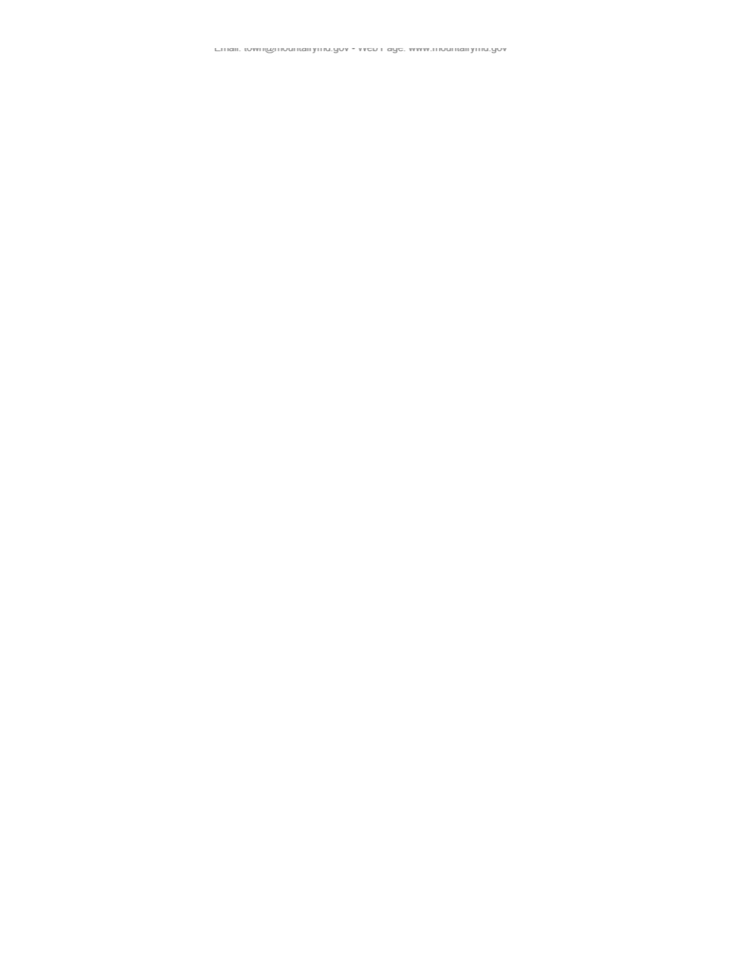LITION. WWITHATINAI ROLLY WAS TREATED ON A WARD TO A WARD A THAT AND THAT A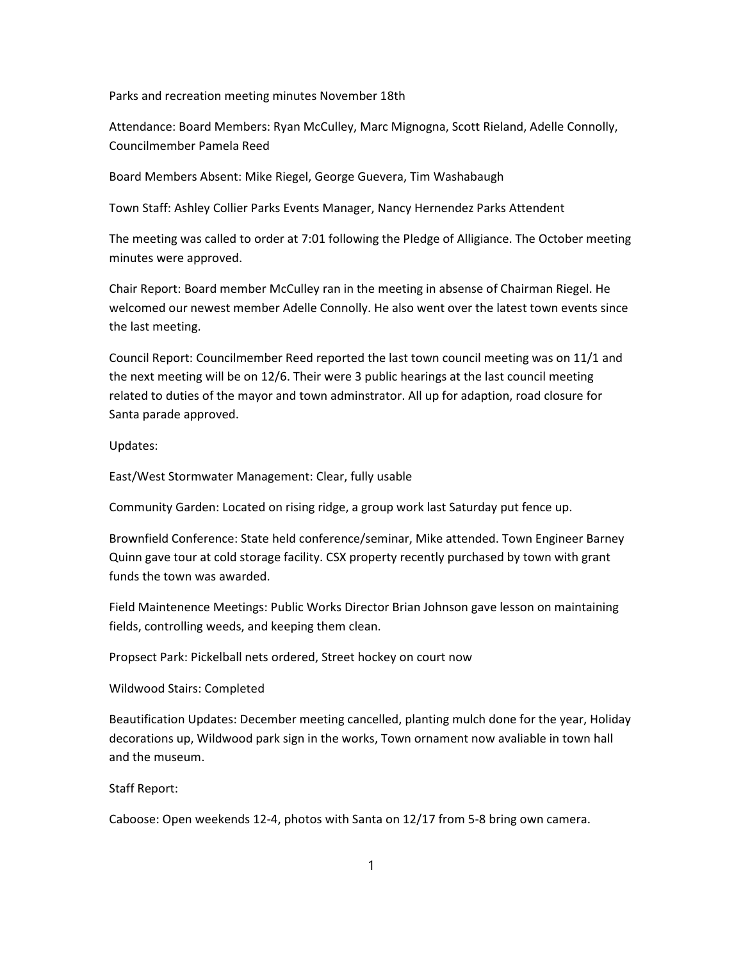Parks and recreation meeting minutes November 18th

Attendance: Board Members: Ryan McCulley, Marc Mignogna, Scott Rieland, Adelle Connolly, Councilmember Pamela Reed

Board Members Absent: Mike Riegel, George Guevera, Tim Washabaugh

Town Staff: Ashley Collier Parks Events Manager, Nancy Hernendez Parks Attendent

The meeting was called to order at 7:01 following the Pledge of Alligiance. The October meeting minutes were approved.

Chair Report: Board member McCulley ran in the meeting in absense of Chairman Riegel. He welcomed our newest member Adelle Connolly. He also went over the latest town events since the last meeting.

Council Report: Councilmember Reed reported the last town council meeting was on 11/1 and the next meeting will be on 12/6. Their were 3 public hearings at the last council meeting related to duties of the mayor and town adminstrator. All up for adaption, road closure for Santa parade approved.

Updates:

East/West Stormwater Management: Clear, fully usable

Community Garden: Located on rising ridge, a group work last Saturday put fence up.

Brownfield Conference: State held conference/seminar, Mike attended. Town Engineer Barney Quinn gave tour at cold storage facility. CSX property recently purchased by town with grant funds the town was awarded.

Field Maintenence Meetings: Public Works Director Brian Johnson gave lesson on maintaining fields, controlling weeds, and keeping them clean.

Propsect Park: Pickelball nets ordered, Street hockey on court now

Wildwood Stairs: Completed

Beautification Updates: December meeting cancelled, planting mulch done for the year, Holiday decorations up, Wildwood park sign in the works, Town ornament now avaliable in town hall and the museum.

Staff Report:

Caboose: Open weekends 12-4, photos with Santa on 12/17 from 5-8 bring own camera.